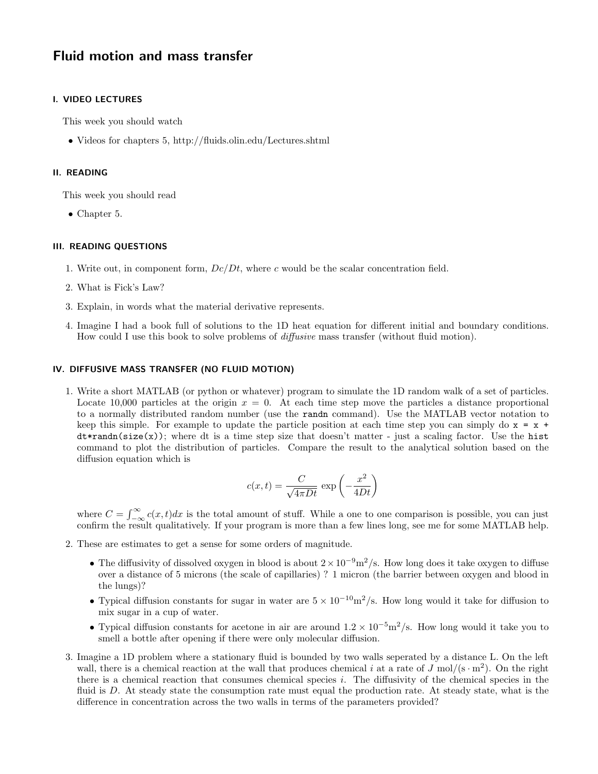# Fluid motion and mass transfer

## I. VIDEO LECTURES

This week you should watch

• Videos for chapters 5, http://fluids.olin.edu/Lectures.shtml

## II. READING

This week you should read

• Chapter 5.

### III. READING QUESTIONS

- 1. Write out, in component form,  $Dc/Dt$ , where c would be the scalar concentration field.
- 2. What is Fick's Law?
- 3. Explain, in words what the material derivative represents.
- 4. Imagine I had a book full of solutions to the 1D heat equation for different initial and boundary conditions. How could I use this book to solve problems of *diffusive* mass transfer (without fluid motion).

## IV. DIFFUSIVE MASS TRANSFER (NO FLUID MOTION)

1. Write a short MATLAB (or python or whatever) program to simulate the 1D random walk of a set of particles. Locate 10,000 particles at the origin  $x = 0$ . At each time step move the particles a distance proportional to a normally distributed random number (use the randn command). Use the MATLAB vector notation to keep this simple. For example to update the particle position at each time step you can simply do  $x = x +$  $dt*randn(size(x));$  where dt is a time step size that doesn't matter - just a scaling factor. Use the hist command to plot the distribution of particles. Compare the result to the analytical solution based on the diffusion equation which is

$$
c(x,t) = \frac{C}{\sqrt{4\pi Dt}} \exp\left(-\frac{x^2}{4Dt}\right)
$$

where  $C = \int_{-\infty}^{\infty} c(x, t) dx$  is the total amount of stuff. While a one to one comparison is possible, you can just confirm the result qualitatively. If your program is more than a few lines long, see me for some MATLAB help.

- 2. These are estimates to get a sense for some orders of magnitude.
	- The diffusivity of dissolved oxygen in blood is about  $2 \times 10^{-9} \text{m}^2/\text{s}$ . How long does it take oxygen to diffuse over a distance of 5 microns (the scale of capillaries) ? 1 micron (the barrier between oxygen and blood in the lungs)?
	- Typical diffusion constants for sugar in water are  $5 \times 10^{-10} \text{m}^2/\text{s}$ . How long would it take for diffusion to mix sugar in a cup of water.
	- Typical diffusion constants for acetone in air are around  $1.2 \times 10^{-5}$ m<sup>2</sup>/s. How long would it take you to smell a bottle after opening if there were only molecular diffusion.
- 3. Imagine a 1D problem where a stationary fluid is bounded by two walls seperated by a distance L. On the left wall, there is a chemical reaction at the wall that produces chemical i at a rate of  $J \text{ mol/(s}\cdot m^2)$ . On the right there is a chemical reaction that consumes chemical species i. The diffusivity of the chemical species in the fluid is D. At steady state the consumption rate must equal the production rate. At steady state, what is the difference in concentration across the two walls in terms of the parameters provided?